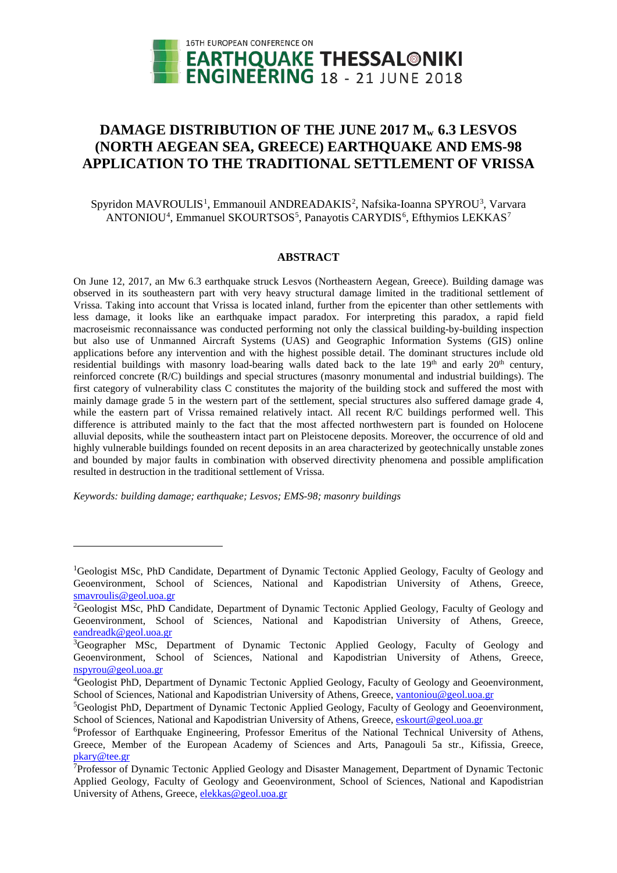

# DAMAGE DISTRIBUTION OF THE JUNE 2017 M<sub>w</sub> 6.3 LESVOS **(NORTH AEGEAN SEA, GREECE) EARTHQUAKE AND EMS-98 APPLICATION TO THE TRADITIONAL SETTLEMENT OF VRISSA**

## Spyridon MAVROULIS<sup>[1](#page-0-0)</sup>, Emmanouil ANDREADAKIS<sup>[2](#page-0-1)</sup>, Nafsika-Ioanna SPYROU<sup>[3](#page-0-2)</sup>, Varvara ANTONIOU<sup>[4](#page-0-3)</sup>, Emmanuel SKOURTSOS<sup>[5](#page-0-4)</sup>, Panayotis CARYDIS<sup>[6](#page-0-5)</sup>, Efthymios LEKKAS<sup>[7](#page-0-6)</sup>

### **ABSTRACT**

On June 12, 2017, an Mw 6.3 earthquake struck Lesvos (Northeastern Aegean, Greece). Building damage was observed in its southeastern part with very heavy structural damage limited in the traditional settlement of Vrissa. Taking into account that Vrissa is located inland, further from the epicenter than other settlements with less damage, it looks like an earthquake impact paradox. For interpreting this paradox, a rapid field macroseismic reconnaissance was conducted performing not only the classical building-by-building inspection but also use of Unmanned Aircraft Systems (UAS) and Geographic Information Systems (GIS) online applications before any intervention and with the highest possible detail. The dominant structures include old residential buildings with masonry load-bearing walls dated back to the late 19<sup>th</sup> and early 20<sup>th</sup> century, reinforced concrete (R/C) buildings and special structures (masonry monumental and industrial buildings). The first category of vulnerability class C constitutes the majority of the building stock and suffered the most with mainly damage grade 5 in the western part of the settlement, special structures also suffered damage grade 4, while the eastern part of Vrissa remained relatively intact. All recent R/C buildings performed well. This difference is attributed mainly to the fact that the most affected northwestern part is founded on Holocene alluvial deposits, while the southeastern intact part on Pleistocene deposits. Moreover, the occurrence of old and highly vulnerable buildings founded on recent deposits in an area characterized by geotechnically unstable zones and bounded by major faults in combination with observed directivity phenomena and possible amplification resulted in destruction in the traditional settlement of Vrissa.

*Keywords: building damage; earthquake; Lesvos; EMS-98; masonry buildings*

<u>.</u>

<span id="page-0-0"></span><sup>&</sup>lt;sup>1</sup>Geologist MSc, PhD Candidate, Department of Dynamic Tectonic Applied Geology, Faculty of Geology and Geoenvironment, School of Sciences, National and Kapodistrian University of Athens, Greece, [smavroulis@geol.uoa.gr](mailto:smavroulis@geol.uoa.gr)

<span id="page-0-1"></span><sup>&</sup>lt;sup>2</sup>Geologist MSc, PhD Candidate, Department of Dynamic Tectonic Applied Geology, Faculty of Geology and Geoenvironment, School of Sciences, National and Kapodistrian University of Athens, Greece, [eandreadk@geol.uoa.gr](mailto:eandreadk@geol.uoa.gr)

<span id="page-0-2"></span><sup>&</sup>lt;sup>3</sup>Geographer MSc, Department of Dynamic Tectonic Applied Geology, Faculty of Geology and Geoenvironment, School of Sciences, National and Kapodistrian University of Athens, Greece, [nspyrou@geol.uoa.gr](mailto:nspyrou@geol.uoa.gr)

<span id="page-0-3"></span><sup>&</sup>lt;sup>4</sup>Geologist PhD, Department of Dynamic Tectonic Applied Geology, Faculty of Geology and Geoenvironment, School of Sciences, National and Kapodistrian University of Athens, Greece, [vantoniou@geol.uoa.gr](mailto:vantoniou@geol.uoa.gr)

<span id="page-0-4"></span><sup>&</sup>lt;sup>5</sup>Geologist PhD, Department of Dynamic Tectonic Applied Geology, Faculty of Geology and Geoenvironment, School of Sciences, National and Kapodistrian University of Athens, Greece, [eskourt@geol.uoa.gr](mailto:eskourt@geol.uoa.gr)

<span id="page-0-5"></span><sup>6</sup> Professor of Earthquake Engineering, Professor Emeritus of the National Technical University of Athens, Greece, Member of the European Academy of Sciences and Arts, Panagouli 5a str., Kifissia, Greece, [pkary@tee.gr](mailto:pkary@tee.gr)

<span id="page-0-6"></span><sup>&</sup>lt;sup>7</sup>Professor of Dynamic Tectonic Applied Geology and Disaster Management, Department of Dynamic Tectonic Applied Geology, Faculty of Geology and Geoenvironment, School of Sciences, National and Kapodistrian University of Athens, Greece, [elekkas@geol.uoa.gr](mailto:elekkas@geol.uoa.gr)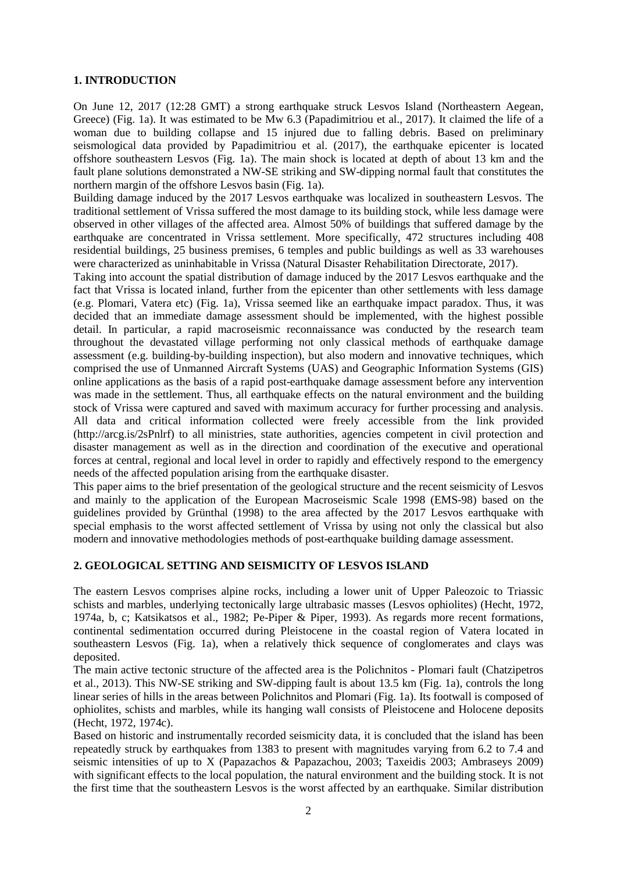## **1. INTRODUCTION**

On June 12, 2017 (12:28 GMT) a strong earthquake struck Lesvos Island (Northeastern Aegean, Greece) (Fig. 1a). It was estimated to be Mw 6.3 (Papadimitriou et al., 2017). It claimed the life of a woman due to building collapse and 15 injured due to falling debris. Based on preliminary seismological data provided by Papadimitriou et al. (2017), the earthquake epicenter is located offshore southeastern Lesvos (Fig. 1a). The main shock is located at depth of about 13 km and the fault plane solutions demonstrated a NW-SE striking and SW-dipping normal fault that constitutes the northern margin of the offshore Lesvos basin (Fig. 1a).

Building damage induced by the 2017 Lesvos earthquake was localized in southeastern Lesvos. The traditional settlement of Vrissa suffered the most damage to its building stock, while less damage were observed in other villages of the affected area. Almost 50% of buildings that suffered damage by the earthquake are concentrated in Vrissa settlement. More specifically, 472 structures including 408 residential buildings, 25 business premises, 6 temples and public buildings as well as 33 warehouses were characterized as uninhabitable in Vrissa (Natural Disaster Rehabilitation Directorate, 2017).

Taking into account the spatial distribution of damage induced by the 2017 Lesvos earthquake and the fact that Vrissa is located inland, further from the epicenter than other settlements with less damage (e.g. Plomari, Vatera etc) (Fig. 1a), Vrissa seemed like an earthquake impact paradox. Thus, it was decided that an immediate damage assessment should be implemented, with the highest possible detail. In particular, a rapid macroseismic reconnaissance was conducted by the research team throughout the devastated village performing not only classical methods of earthquake damage assessment (e.g. building-by-building inspection), but also modern and innovative techniques, which comprised the use of Unmanned Aircraft Systems (UAS) and Geographic Information Systems (GIS) online applications as the basis of a rapid post-earthquake damage assessment before any intervention was made in the settlement. Thus, all earthquake effects on the natural environment and the building stock of Vrissa were captured and saved with maximum accuracy for further processing and analysis. All data and critical information collected were freely accessible from the link provided (http://arcg.is/2sPnlrf) to all ministries, state authorities, agencies competent in civil protection and disaster management as well as in the direction and coordination of the executive and operational forces at central, regional and local level in order to rapidly and effectively respond to the emergency needs of the affected population arising from the earthquake disaster.

This paper aims to the brief presentation of the geological structure and the recent seismicity of Lesvos and mainly to the application of the European Macroseismic Scale 1998 (EMS-98) based on the guidelines provided by Grünthal (1998) to the area affected by the 2017 Lesvos earthquake with special emphasis to the worst affected settlement of Vrissa by using not only the classical but also modern and innovative methodologies methods of post-earthquake building damage assessment.

## **2. GEOLOGICAL SETTING AND SEISMICITY OF LESVOS ISLAND**

The eastern Lesvos comprises alpine rocks, including a lower unit of Upper Paleozoic to Triassic schists and marbles, underlying tectonically large ultrabasic masses (Lesvos ophiolites) (Hecht, 1972, 1974a, b, c; Katsikatsos et al., 1982; Pe-Piper & Piper, 1993). As regards more recent formations, continental sedimentation occurred during Pleistocene in the coastal region of Vatera located in southeastern Lesvos (Fig. 1a), when a relatively thick sequence of conglomerates and clays was deposited.

The main active tectonic structure of the affected area is the Polichnitos - Plomari fault (Chatzipetros et al., 2013). This NW-SE striking and SW-dipping fault is about 13.5 km (Fig. 1a), controls the long linear series of hills in the areas between Polichnitos and Plomari (Fig. 1a). Its footwall is composed of ophiolites, schists and marbles, while its hanging wall consists of Pleistocene and Holocene deposits (Hecht, 1972, 1974c).

Based on historic and instrumentally recorded seismicity data, it is concluded that the island has been repeatedly struck by earthquakes from 1383 to present with magnitudes varying from 6.2 to 7.4 and seismic intensities of up to X (Papazachos & Papazachou, 2003; Taxeidis 2003; Ambraseys 2009) with significant effects to the local population, the natural environment and the building stock. It is not the first time that the southeastern Lesvos is the worst affected by an earthquake. Similar distribution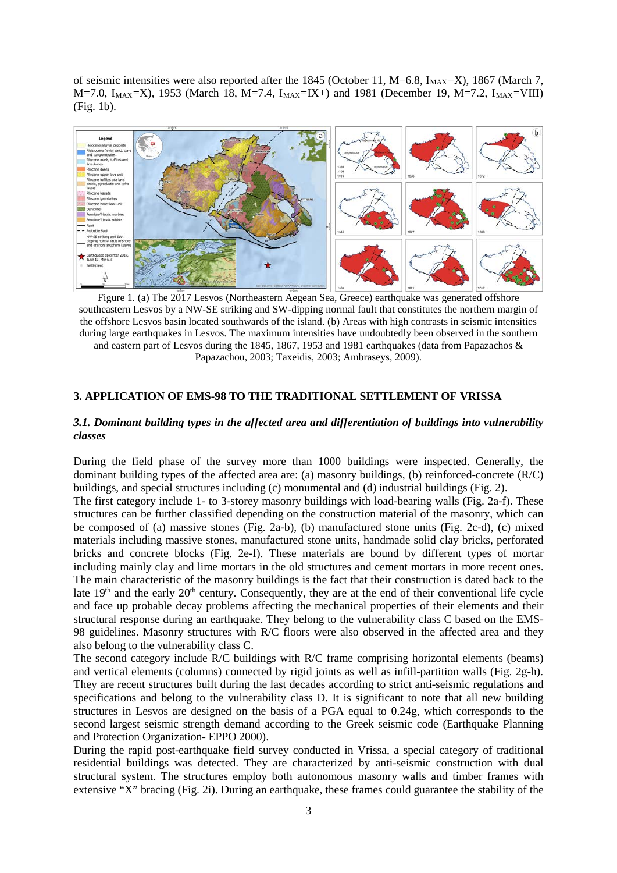of seismic intensities were also reported after the 1845 (October 11, M=6.8,  $I_{MAX}=X$ ), 1867 (March 7, M=7.0, I<sub>MAX</sub>=X), 1953 (March 18, M=7.4, I<sub>MAX</sub>=IX+) and 1981 (December 19, M=7.2, I<sub>MAX</sub>=VIII) (Fig. 1b).



Figure 1. (a) The 2017 Lesvos (Northeastern Aegean Sea, Greece) earthquake was generated offshore southeastern Lesvos by a NW-SE striking and SW-dipping normal fault that constitutes the northern margin of the offshore Lesvos basin located southwards of the island. (b) Areas with high contrasts in seismic intensities during large earthquakes in Lesvos. The maximum intensities have undoubtedly been observed in the southern and eastern part of Lesvos during the 1845, 1867, 1953 and 1981 earthquakes (data from Papazachos & Papazachou, 2003; Taxeidis, 2003; Ambraseys, 2009).

## **3. APPLICATION OF EMS-98 TO THE TRADITIONAL SETTLEMENT OF VRISSA**

### *3.1. Dominant building types in the affected area and differentiation of buildings into vulnerability classes*

During the field phase of the survey more than 1000 buildings were inspected. Generally, the dominant building types of the affected area are: (a) masonry buildings, (b) reinforced-concrete (R/C) buildings, and special structures including (c) monumental and (d) industrial buildings (Fig. 2).

The first category include 1- to 3-storey masonry buildings with load-bearing walls (Fig. 2a-f). These structures can be further classified depending on the construction material of the masonry, which can be composed of (a) massive stones (Fig. 2a-b), (b) manufactured stone units (Fig. 2c-d), (c) mixed materials including massive stones, manufactured stone units, handmade solid clay bricks, perforated bricks and concrete blocks (Fig. 2e-f). These materials are bound by different types of mortar including mainly clay and lime mortars in the old structures and cement mortars in more recent ones. The main characteristic of the masonry buildings is the fact that their construction is dated back to the late  $19<sup>th</sup>$  and the early  $20<sup>th</sup>$  century. Consequently, they are at the end of their conventional life cycle and face up probable decay problems affecting the mechanical properties of their elements and their structural response during an earthquake. They belong to the vulnerability class C based on the EMS-98 guidelines. Masonry structures with R/C floors were also observed in the affected area and they also belong to the vulnerability class C.

The second category include R/C buildings with R/C frame comprising horizontal elements (beams) and vertical elements (columns) connected by rigid joints as well as infill-partition walls (Fig. 2g-h). They are recent structures built during the last decades according to strict anti-seismic regulations and specifications and belong to the vulnerability class D. It is significant to note that all new building structures in Lesvos are designed on the basis of a PGA equal to 0.24g, which corresponds to the second largest seismic strength demand according to the Greek seismic code (Earthquake Planning and Protection Organization- EPPO 2000).

During the rapid post-earthquake field survey conducted in Vrissa, a special category of traditional residential buildings was detected. They are characterized by anti-seismic construction with dual structural system. The structures employ both autonomous masonry walls and timber frames with extensive "X" bracing (Fig. 2i). During an earthquake, these frames could guarantee the stability of the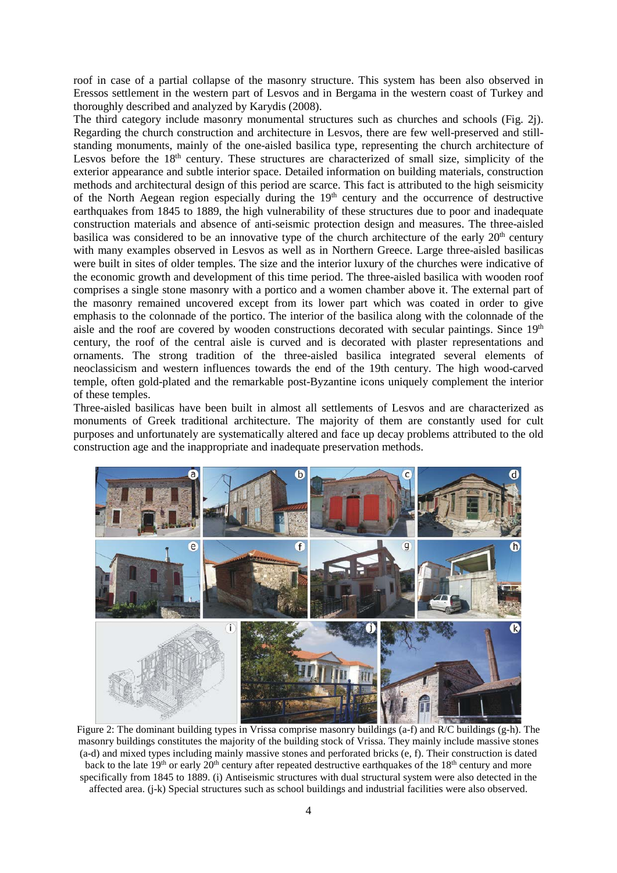roof in case of a partial collapse of the masonry structure. This system has been also observed in Eressos settlement in the western part of Lesvos and in Bergama in the western coast of Turkey and thoroughly described and analyzed by Karydis (2008).

The third category include masonry monumental structures such as churches and schools (Fig. 2j). Regarding the church construction and architecture in Lesvos, there are few well-preserved and stillstanding monuments, mainly of the one-aisled basilica type, representing the church architecture of Lesvos before the 18<sup>th</sup> century. These structures are characterized of small size, simplicity of the exterior appearance and subtle interior space. Detailed information on building materials, construction methods and architectural design of this period are scarce. This fact is attributed to the high seismicity of the North Aegean region especially during the  $19<sup>th</sup>$  century and the occurrence of destructive earthquakes from 1845 to 1889, the high vulnerability of these structures due to poor and inadequate construction materials and absence of anti-seismic protection design and measures. The three-aisled basilica was considered to be an innovative type of the church architecture of the early  $20<sup>th</sup>$  century with many examples observed in Lesvos as well as in Northern Greece. Large three-aisled basilicas were built in sites of older temples. The size and the interior luxury of the churches were indicative of the economic growth and development of this time period. The three-aisled basilica with wooden roof comprises a single stone masonry with a portico and a women chamber above it. The external part of the masonry remained uncovered except from its lower part which was coated in order to give emphasis to the colonnade of the portico. The interior of the basilica along with the colonnade of the aisle and the roof are covered by wooden constructions decorated with secular paintings. Since  $19<sup>th</sup>$ century, the roof of the central aisle is curved and is decorated with plaster representations and ornaments. The strong tradition of the three-aisled basilica integrated several elements of neoclassicism and western influences towards the end of the 19th century. The high wood-carved temple, often gold-plated and the remarkable post-Byzantine icons uniquely complement the interior of these temples.

Three-aisled basilicas have been built in almost all settlements of Lesvos and are characterized as monuments of Greek traditional architecture. The majority of them are constantly used for cult purposes and unfortunately are systematically altered and face up decay problems attributed to the old construction age and the inappropriate and inadequate preservation methods.



Figure 2: The dominant building types in Vrissa comprise masonry buildings (a-f) and R/C buildings (g-h). The masonry buildings constitutes the majority of the building stock of Vrissa. They mainly include massive stones (a-d) and mixed types including mainly massive stones and perforated bricks (e, f). Their construction is dated back to the late 19<sup>th</sup> or early 20<sup>th</sup> century after repeated destructive earthquakes of the 18<sup>th</sup> century and more specifically from 1845 to 1889. (i) Antiseismic structures with dual structural system were also detected in the affected area. (j-k) Special structures such as school buildings and industrial facilities were also observed.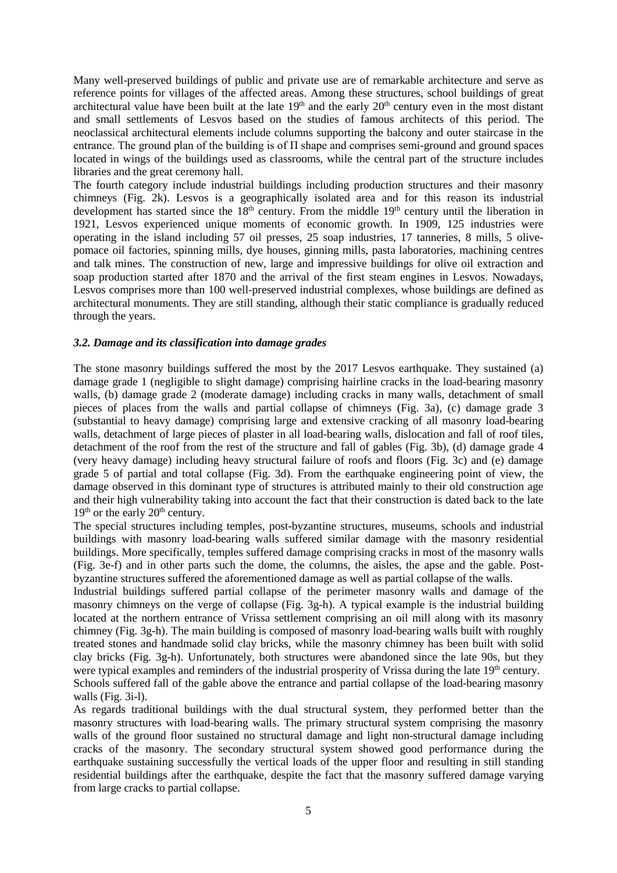Many well-preserved buildings of public and private use are of remarkable architecture and serve as reference points for villages of the affected areas. Among these structures, school buildings of great architectural value have been built at the late 19<sup>th</sup> and the early 20<sup>th</sup> century even in the most distant and small settlements of Lesvos based on the studies of famous architects of this period. The neoclassical architectural elements include columns supporting the balcony and outer staircase in the entrance. The ground plan of the building is of  $\Pi$  shape and comprises semi-ground and ground spaces located in wings of the buildings used as classrooms, while the central part of the structure includes libraries and the great ceremony hall.

The fourth category include industrial buildings including production structures and their masonry chimneys (Fig. 2k). Lesvos is a geographically isolated area and for this reason its industrial development has started since the 18<sup>th</sup> century. From the middle 19<sup>th</sup> century until the liberation in 1921, Lesvos experienced unique moments of economic growth. In 1909, 125 industries were operating in the island including 57 oil presses, 25 soap industries, 17 tanneries, 8 mills, 5 olivepomace oil factories, spinning mills, dye houses, ginning mills, pasta laboratories, machining centres and talk mines. The construction of new, large and impressive buildings for olive oil extraction and soap production started after 1870 and the arrival of the first steam engines in Lesvos. Nowadays, Lesvos comprises more than 100 well-preserved industrial complexes, whose buildings are defined as architectural monuments. They are still standing, although their static compliance is gradually reduced through the years.

## *3.2. Damage and its classification into damage grades*

The stone masonry buildings suffered the most by the 2017 Lesvos earthquake. They sustained (a) damage grade 1 (negligible to slight damage) comprising hairline cracks in the load-bearing masonry walls, (b) damage grade 2 (moderate damage) including cracks in many walls, detachment of small pieces of places from the walls and partial collapse of chimneys (Fig. 3a), (c) damage grade 3 (substantial to heavy damage) comprising large and extensive cracking of all masonry load-bearing walls, detachment of large pieces of plaster in all load-bearing walls, dislocation and fall of roof tiles, detachment of the roof from the rest of the structure and fall of gables (Fig. 3b), (d) damage grade 4 (very heavy damage) including heavy structural failure of roofs and floors (Fig. 3c) and (e) damage grade 5 of partial and total collapse (Fig. 3d). From the earthquake engineering point of view, the damage observed in this dominant type of structures is attributed mainly to their old construction age and their high vulnerability taking into account the fact that their construction is dated back to the late  $19<sup>th</sup>$  or the early  $20<sup>th</sup>$  century.

The special structures including temples, post-byzantine structures, museums, schools and industrial buildings with masonry load-bearing walls suffered similar damage with the masonry residential buildings. More specifically, temples suffered damage comprising cracks in most of the masonry walls (Fig. 3e-f) and in other parts such the dome, the columns, the aisles, the apse and the gable. Postbyzantine structures suffered the aforementioned damage as well as partial collapse of the walls.

Industrial buildings suffered partial collapse of the perimeter masonry walls and damage of the masonry chimneys on the verge of collapse (Fig. 3g-h). A typical example is the industrial building located at the northern entrance of Vrissa settlement comprising an oil mill along with its masonry chimney (Fig. 3g-h). The main building is composed of masonry load-bearing walls built with roughly treated stones and handmade solid clay bricks, while the masonry chimney has been built with solid clay bricks (Fig. 3g-h). Unfortunately, both structures were abandoned since the late 90s, but they were typical examples and reminders of the industrial prosperity of Vrissa during the late 19<sup>th</sup> century. Schools suffered fall of the gable above the entrance and partial collapse of the load-bearing masonry walls (Fig. 3i-l).

As regards traditional buildings with the dual structural system, they performed better than the masonry structures with load-bearing walls. The primary structural system comprising the masonry walls of the ground floor sustained no structural damage and light non-structural damage including cracks of the masonry. The secondary structural system showed good performance during the earthquake sustaining successfully the vertical loads of the upper floor and resulting in still standing residential buildings after the earthquake, despite the fact that the masonry suffered damage varying from large cracks to partial collapse.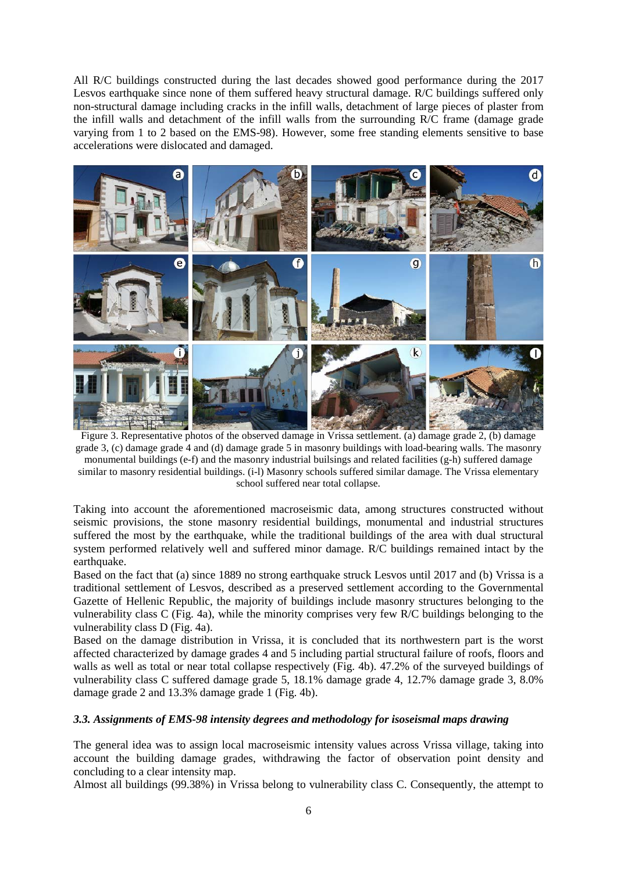All R/C buildings constructed during the last decades showed good performance during the 2017 Lesvos earthquake since none of them suffered heavy structural damage. R/C buildings suffered only non-structural damage including cracks in the infill walls, detachment of large pieces of plaster from the infill walls and detachment of the infill walls from the surrounding R/C frame (damage grade varying from 1 to 2 based on the EMS-98). However, some free standing elements sensitive to base accelerations were dislocated and damaged.



Figure 3. Representative photos of the observed damage in Vrissa settlement. (a) damage grade 2, (b) damage grade 3, (c) damage grade 4 and (d) damage grade 5 in masonry buildings with load-bearing walls. The masonry monumental buildings (e-f) and the masonry industrial builsings and related facilities (g-h) suffered damage similar to masonry residential buildings. (i-l) Masonry schools suffered similar damage. The Vrissa elementary school suffered near total collapse.

Taking into account the aforementioned macroseismic data, among structures constructed without seismic provisions, the stone masonry residential buildings, monumental and industrial structures suffered the most by the earthquake, while the traditional buildings of the area with dual structural system performed relatively well and suffered minor damage. R/C buildings remained intact by the earthquake.

Based on the fact that (a) since 1889 no strong earthquake struck Lesvos until 2017 and (b) Vrissa is a traditional settlement of Lesvos, described as a preserved settlement according to the Governmental Gazette of Hellenic Republic, the majority of buildings include masonry structures belonging to the vulnerability class C (Fig. 4a), while the minority comprises very few R/C buildings belonging to the vulnerability class D (Fig. 4a).

Based on the damage distribution in Vrissa, it is concluded that its northwestern part is the worst affected characterized by damage grades 4 and 5 including partial structural failure of roofs, floors and walls as well as total or near total collapse respectively (Fig. 4b). 47.2% of the surveyed buildings of vulnerability class C suffered damage grade 5, 18.1% damage grade 4, 12.7% damage grade 3, 8.0% damage grade 2 and 13.3% damage grade 1 (Fig. 4b).

## *3.3. Assignments of EMS-98 intensity degrees and methodology for isoseismal maps drawing*

The general idea was to assign local macroseismic intensity values across Vrissa village, taking into account the building damage grades, withdrawing the factor of observation point density and concluding to a clear intensity map.

Almost all buildings (99.38%) in Vrissa belong to vulnerability class C. Consequently, the attempt to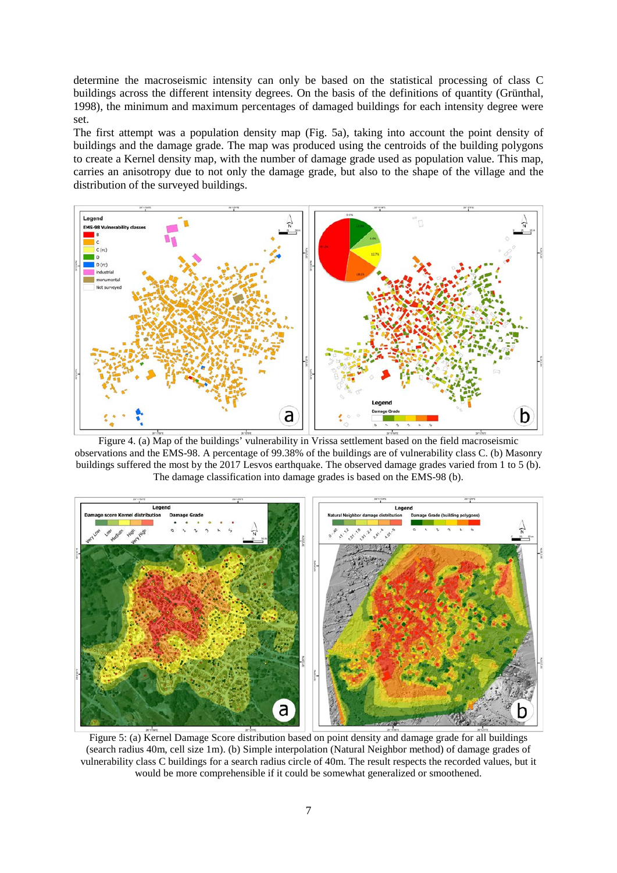determine the macroseismic intensity can only be based on the statistical processing of class C buildings across the different intensity degrees. On the basis of the definitions of quantity (Grünthal, 1998), the minimum and maximum percentages of damaged buildings for each intensity degree were set.

The first attempt was a population density map (Fig. 5a), taking into account the point density of buildings and the damage grade. The map was produced using the centroids of the building polygons to create a Kernel density map, with the number of damage grade used as population value. This map, carries an anisotropy due to not only the damage grade, but also to the shape of the village and the distribution of the surveyed buildings.



Figure 4. (a) Map of the buildings' vulnerability in Vrissa settlement based on the field macroseismic observations and the EMS-98. A percentage of 99.38% of the buildings are of vulnerability class C. (b) Masonry buildings suffered the most by the 2017 Lesvos earthquake. The observed damage grades varied from 1 to 5 (b). The damage classification into damage grades is based on the EMS-98 (b).



Figure 5: (a) Kernel Damage Score distribution based on point density and damage grade for all buildings (search radius 40m, cell size 1m). (b) Simple interpolation (Natural Neighbor method) of damage grades of vulnerability class C buildings for a search radius circle of 40m. The result respects the recorded values, but it would be more comprehensible if it could be somewhat generalized or smoothened.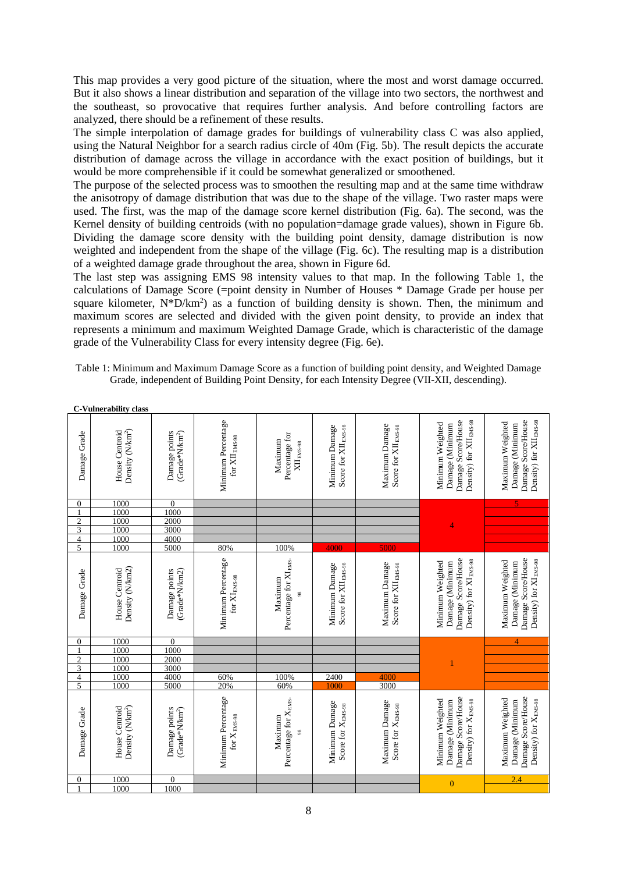This map provides a very good picture of the situation, where the most and worst damage occurred. But it also shows a linear distribution and separation of the village into two sectors, the northwest and the southeast, so provocative that requires further analysis. And before controlling factors are analyzed, there should be a refinement of these results.

The simple interpolation of damage grades for buildings of vulnerability class C was also applied, using the Natural Neighbor for a search radius circle of 40m (Fig. 5b). The result depicts the accurate distribution of damage across the village in accordance with the exact position of buildings, but it would be more comprehensible if it could be somewhat generalized or smoothened.

The purpose of the selected process was to smoothen the resulting map and at the same time withdraw the anisotropy of damage distribution that was due to the shape of the village. Two raster maps were used. The first, was the map of the damage score kernel distribution (Fig. 6a). The second, was the Kernel density of building centroids (with no population=damage grade values), shown in Figure 6b. Dividing the damage score density with the building point density, damage distribution is now weighted and independent from the shape of the village (Fig. 6c). The resulting map is a distribution of a weighted damage grade throughout the area, shown in Figure 6d.

The last step was assigning EMS 98 intensity values to that map. In the following Table 1, the calculations of Damage Score (=point density in Number of Houses \* Damage Grade per house per square kilometer,  $N^*D/km^2$ ) as a function of building density is shown. Then, the minimum and maximum scores are selected and divided with the given point density, to provide an index that represents a minimum and maximum Weighted Damage Grade, which is characteristic of the damage grade of the Vulnerability Class for every intensity degree (Fig. 6e).

Table 1: Minimum and Maximum Damage Score as a function of building point density, and Weighted Damage Grade, independent of Building Point Density, for each Intensity Degree (VII-XII, descending).

| <b>C-Vulnerability class</b> |  |  |
|------------------------------|--|--|
|                              |  |  |

| Damage Grade<br>$\boldsymbol{0}$<br>$\overline{c}$<br>$\overline{3}$<br>$\frac{4}{5}$ | Density (N/km <sup>2</sup> )<br>House Centroid<br>1000<br>1000<br>1000<br>1000<br>1000<br>1000 | $(Grade*N/km2)$<br>Damage points<br>$\overline{0}$<br>1000<br>2000<br>3000<br>4000<br>5000 | Minimum Percentage<br>$\rm{for\,}XII_{EMS-98}$<br>80% | Percentage for<br>Maximum<br>$\rm XII_{\rm EMS-98}$<br>100%   | Minimum Damage<br>Score for XII <sub>EMS-98</sub><br>4000 | Maximum Damage<br>Score for XII <sub>EMS-98</sub><br>5000 | Density) for XII <sub>EMS-98</sub><br>Damage Score/House<br>Minimum Weighted<br>Damage (Minimum<br>4 | Maximum Weighted |
|---------------------------------------------------------------------------------------|------------------------------------------------------------------------------------------------|--------------------------------------------------------------------------------------------|-------------------------------------------------------|---------------------------------------------------------------|-----------------------------------------------------------|-----------------------------------------------------------|------------------------------------------------------------------------------------------------------|------------------|
| Damage Grade                                                                          | Density (N/km2)<br>House Centroid                                                              | (Grade*N/km2)<br>Damage points                                                             | Minimum Percentage<br>for ${\rm XI\,_{EMS-98}}$       | Percentage for XI <sub>EMS</sub><br>Maximum<br>98             | Score for XII <sub>EMS-98</sub><br>Minimum Damage         | Maximum Damage<br>Score for XII EMS-98                    | Damage Score/House<br>Density) for XI <sub>EMS-98</sub><br>Minimum Weighted<br>Damage (Minimum       | Maximum Weighted |
| $\mathbf{0}$<br>$\mathbf{2}$<br>$\overline{3}$<br>4<br>5                              | 1000<br>1000<br>1000<br>1000<br>1000<br>1000                                                   | $\overline{0}$<br>1000<br>2000<br>3000<br>4000<br>5000                                     | 60%<br>20%                                            | 100%<br>60%                                                   | 2400<br>1000                                              | 4000<br>3000                                              | $\overline{1}$                                                                                       |                  |
| Damage Grade                                                                          | Density (N/km <sup>2</sup> )<br>House Centroid                                                 | Damage points<br>$(Grade*Nkm2)$                                                            | Minimum Percentage<br>for $\rm X_{EMS-98}$            | Percentage for X <sub>EMS</sub> .<br>Maximum<br>$\frac{8}{2}$ | Minimum Damage<br>Score for X <sub>EMS-98</sub>           | Maximum Damage<br>Score for X <sub>EMS-98</sub>           | Damage Score/House<br>Minimum Weighted<br>Density) for X <sub>EMS-98</sub><br>Damage (Minimum        | Maximum Weighted |
| $\boldsymbol{0}$                                                                      | 1000                                                                                           | $\boldsymbol{0}$                                                                           |                                                       |                                                               |                                                           |                                                           | $\mathbf{0}$                                                                                         | 2.4              |
|                                                                                       | 1000                                                                                           | 1000                                                                                       |                                                       |                                                               |                                                           |                                                           |                                                                                                      |                  |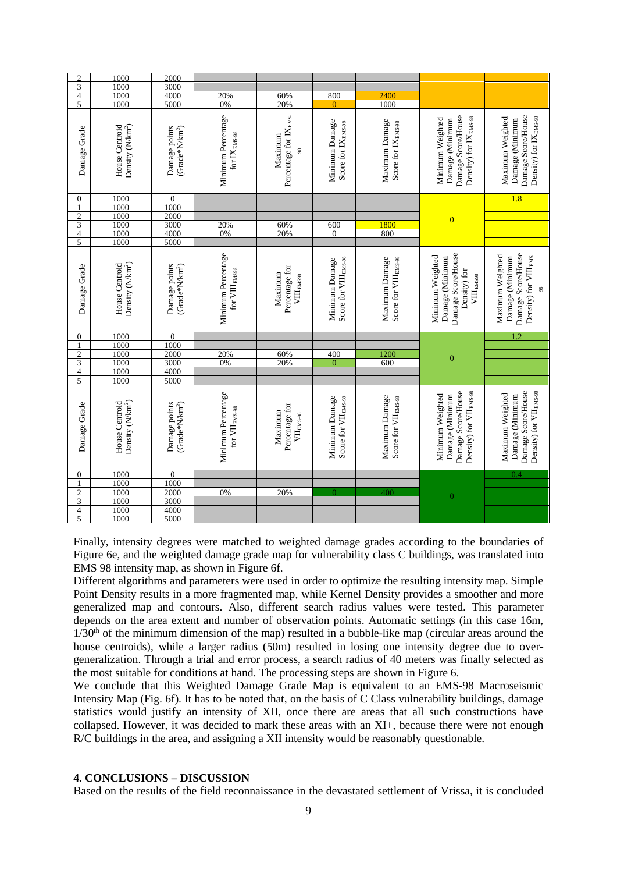| $\mathfrak{2}$          | 1000                                           | 2000                                        |                                                     |                                                     |                                                    |                                                    |                                                                                                     |                                                                                                      |
|-------------------------|------------------------------------------------|---------------------------------------------|-----------------------------------------------------|-----------------------------------------------------|----------------------------------------------------|----------------------------------------------------|-----------------------------------------------------------------------------------------------------|------------------------------------------------------------------------------------------------------|
| $\overline{\mathbf{3}}$ | 1000                                           | 3000                                        |                                                     |                                                     |                                                    |                                                    |                                                                                                     |                                                                                                      |
| $\frac{4}{5}$           | 1000                                           | 4000                                        | 20%                                                 | 60%                                                 | 800                                                | 2400                                               |                                                                                                     |                                                                                                      |
|                         | 1000                                           | 5000                                        | 0%                                                  | 20%                                                 | $\overline{0}$                                     | 1000                                               |                                                                                                     |                                                                                                      |
| Damage Grade            | Density (N/km <sup>2</sup> )<br>House Centroid | Damage points<br>$(Grade*N/km2)$            | Minimum Percentage<br>for $IX_{ENS-98}$             | Percentage for IX <sub>EMS</sub><br>Maximum<br>98   | Minimum Damage<br>Score for IX EMS-98              | Maximum Damage<br>Score for IX <sub>EMS-98</sub>   | Damage Score/House<br>Density) for IXEMS-98<br>Minimum Weighted<br>Damage (Minimum                  | Damage Score/House<br>Density) for IX <sub>ENS-98</sub><br>Maximum Weighted<br>Damage (Minimum       |
| $\boldsymbol{0}$        | 1000                                           | $\overline{0}$                              |                                                     |                                                     |                                                    |                                                    |                                                                                                     | 1.8                                                                                                  |
|                         | 1000                                           | 1000                                        |                                                     |                                                     |                                                    |                                                    |                                                                                                     |                                                                                                      |
| $\frac{2}{3}$           | 1000                                           | 2000                                        |                                                     |                                                     |                                                    |                                                    | $\overline{0}$                                                                                      |                                                                                                      |
|                         | 1000                                           | 3000                                        | 20%                                                 | 60%                                                 | 600                                                | 1800                                               |                                                                                                     |                                                                                                      |
| $\frac{4}{5}$           | 1000                                           | 4000                                        | 0%                                                  | 20%                                                 | $\overline{0}$                                     | 800                                                |                                                                                                     |                                                                                                      |
|                         | 1000                                           | 5000                                        |                                                     |                                                     |                                                    |                                                    |                                                                                                     |                                                                                                      |
| Damage Grade            | Density (N/km <sup>2</sup> )<br>House Centroid | Damage points<br>(Grade*N/km <sup>2</sup> ) | Minimum Percentage<br>for $\rm VIII_{\,\,less\,s}$  | Percentage for<br>Maximum<br>$\rm VIII_{\rm EMS98}$ | Score for VIII <sub>EMS-98</sub><br>Minimum Damage | Maximum Damage<br>Score for VIII <sub>EMS-98</sub> | Damage Score/House<br>Minimum Weighted<br>Damage (Minimum<br>Density) for<br>$\rm VIII_{\rm EMS98}$ | Damage Score/House<br>Maximum Weighted<br>Density) for VIII EMS-<br>Damage (Minimum<br>$\frac{8}{2}$ |
| $\boldsymbol{0}$        | 1000                                           | $\frac{0}{1000}$                            |                                                     |                                                     |                                                    |                                                    |                                                                                                     | 1.2                                                                                                  |
| $\mathbf{1}$            | 1000                                           |                                             |                                                     |                                                     |                                                    |                                                    |                                                                                                     |                                                                                                      |
| $\overline{2}$          | 1000                                           | 2000                                        | 20%                                                 | 60%                                                 | 400                                                | 1200                                               |                                                                                                     |                                                                                                      |
| $\overline{3}$          | 1000                                           | 3000                                        | 0%                                                  | 20%                                                 | $\overline{0}$                                     | 600                                                | $\boldsymbol{0}$                                                                                    |                                                                                                      |
| $\overline{4}$          | 1000                                           | 4000                                        |                                                     |                                                     |                                                    |                                                    |                                                                                                     |                                                                                                      |
| $\overline{5}$          | 1000                                           | 5000                                        |                                                     |                                                     |                                                    |                                                    |                                                                                                     |                                                                                                      |
| Damage Grade            | Density (N/km <sup>2</sup> )<br>House Centroid | Damage points<br>(Grade*N/km <sup>2</sup> ) | Minimum Percentage<br>for $\rm{VII}_{\rm{ EMS-98}}$ | Percentage for<br>Maximum<br>$\rm{VI}_{EMS-98}$     | Minimum Damage<br>Score for VII <sub>EMS-98</sub>  | Maximum Damage<br>Score for VII <sub>EMS-98</sub>  | Damage Score/House<br>Density) for VII <sub>EMS-98</sub><br>Minimum Weighted<br>Damage (Minimum     | Damage Score/House<br>Density) for VII <sub>EMS-98</sub><br>Maximum Weighted<br>Damage (Minimum      |
| $\boldsymbol{0}$        | 1000                                           | $\boldsymbol{0}$                            |                                                     |                                                     |                                                    |                                                    |                                                                                                     | 0.4                                                                                                  |
| 1                       | 1000                                           | 1000                                        |                                                     |                                                     |                                                    |                                                    |                                                                                                     |                                                                                                      |
| $\overline{2}$          | 1000                                           | 2000                                        | 0%                                                  | 20%                                                 | $\overline{0}$                                     | 400                                                | $\overline{0}$                                                                                      |                                                                                                      |
| $\frac{3}{4}$           | 1000                                           | 3000                                        |                                                     |                                                     |                                                    |                                                    |                                                                                                     |                                                                                                      |
|                         | 1000                                           | 4000                                        |                                                     |                                                     |                                                    |                                                    |                                                                                                     |                                                                                                      |
| $\overline{5}$          | 1000                                           | 5000                                        |                                                     |                                                     |                                                    |                                                    |                                                                                                     |                                                                                                      |

Finally, intensity degrees were matched to weighted damage grades according to the boundaries of Figure 6e, and the weighted damage grade map for vulnerability class C buildings, was translated into EMS 98 intensity map, as shown in Figure 6f.

Different algorithms and parameters were used in order to optimize the resulting intensity map. Simple Point Density results in a more fragmented map, while Kernel Density provides a smoother and more generalized map and contours. Also, different search radius values were tested. This parameter depends on the area extent and number of observation points. Automatic settings (in this case 16m,  $1/30<sup>th</sup>$  of the minimum dimension of the map) resulted in a bubble-like map (circular areas around the house centroids), while a larger radius (50m) resulted in losing one intensity degree due to overgeneralization. Through a trial and error process, a search radius of 40 meters was finally selected as the most suitable for conditions at hand. The processing steps are shown in Figure 6.

We conclude that this Weighted Damage Grade Map is equivalent to an EMS-98 Macroseismic Intensity Map (Fig. 6f). It has to be noted that, on the basis of C Class vulnerability buildings, damage statistics would justify an intensity of XII, once there are areas that all such constructions have collapsed. However, it was decided to mark these areas with an XI+, because there were not enough R/C buildings in the area, and assigning a XII intensity would be reasonably questionable.

## **4. CONCLUSIONS – DISCUSSION**

Based on the results of the field reconnaissance in the devastated settlement of Vrissa, it is concluded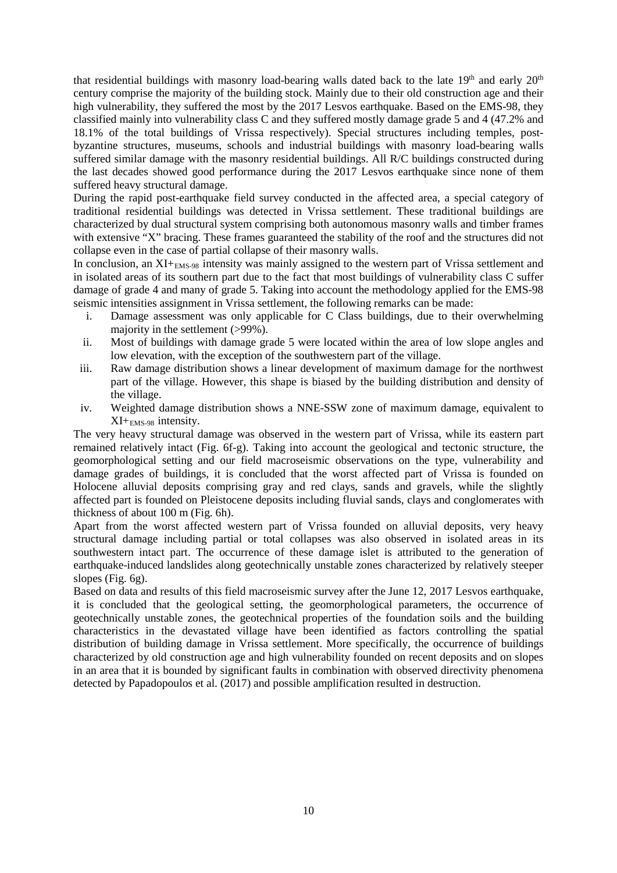that residential buildings with masonry load-bearing walls dated back to the late  $19<sup>th</sup>$  and early  $20<sup>th</sup>$ century comprise the majority of the building stock. Mainly due to their old construction age and their high vulnerability, they suffered the most by the 2017 Lesvos earthquake. Based on the EMS-98, they classified mainly into vulnerability class C and they suffered mostly damage grade 5 and 4 (47.2% and 18.1% of the total buildings of Vrissa respectively). Special structures including temples, postbyzantine structures, museums, schools and industrial buildings with masonry load-bearing walls suffered similar damage with the masonry residential buildings. All R/C buildings constructed during the last decades showed good performance during the 2017 Lesvos earthquake since none of them suffered heavy structural damage.

During the rapid post-earthquake field survey conducted in the affected area, a special category of traditional residential buildings was detected in Vrissa settlement. These traditional buildings are characterized by dual structural system comprising both autonomous masonry walls and timber frames with extensive "X" bracing. These frames guaranteed the stability of the roof and the structures did not collapse even in the case of partial collapse of their masonry walls.

In conclusion, an XI+<sub>EMS-98</sub> intensity was mainly assigned to the western part of Vrissa settlement and in isolated areas of its southern part due to the fact that most buildings of vulnerability class C suffer damage of grade 4 and many of grade 5. Taking into account the methodology applied for the EMS-98 seismic intensities assignment in Vrissa settlement, the following remarks can be made:

- i. Damage assessment was only applicable for C Class buildings, due to their overwhelming majority in the settlement (>99%).
- ii. Most of buildings with damage grade 5 were located within the area of low slope angles and low elevation, with the exception of the southwestern part of the village.
- iii. Raw damage distribution shows a linear development of maximum damage for the northwest part of the village. However, this shape is biased by the building distribution and density of the village.
- iv. Weighted damage distribution shows a NNE-SSW zone of maximum damage, equivalent to XI+EMS-98 intensity.

The very heavy structural damage was observed in the western part of Vrissa, while its eastern part remained relatively intact (Fig. 6f-g). Taking into account the geological and tectonic structure, the geomorphological setting and our field macroseismic observations on the type, vulnerability and damage grades of buildings, it is concluded that the worst affected part of Vrissa is founded on Holocene alluvial deposits comprising gray and red clays, sands and gravels, while the slightly affected part is founded on Pleistocene deposits including fluvial sands, clays and conglomerates with thickness of about 100 m (Fig. 6h).

Apart from the worst affected western part of Vrissa founded on alluvial deposits, very heavy structural damage including partial or total collapses was also observed in isolated areas in its southwestern intact part. The occurrence of these damage islet is attributed to the generation of earthquake-induced landslides along geotechnically unstable zones characterized by relatively steeper slopes (Fig. 6g).

Based on data and results of this field macroseismic survey after the June 12, 2017 Lesvos earthquake, it is concluded that the geological setting, the geomorphological parameters, the occurrence of geotechnically unstable zones, the geotechnical properties of the foundation soils and the building characteristics in the devastated village have been identified as factors controlling the spatial distribution of building damage in Vrissa settlement. More specifically, the occurrence of buildings characterized by old construction age and high vulnerability founded on recent deposits and on slopes in an area that it is bounded by significant faults in combination with observed directivity phenomena detected by Papadopoulos et al. (2017) and possible amplification resulted in destruction.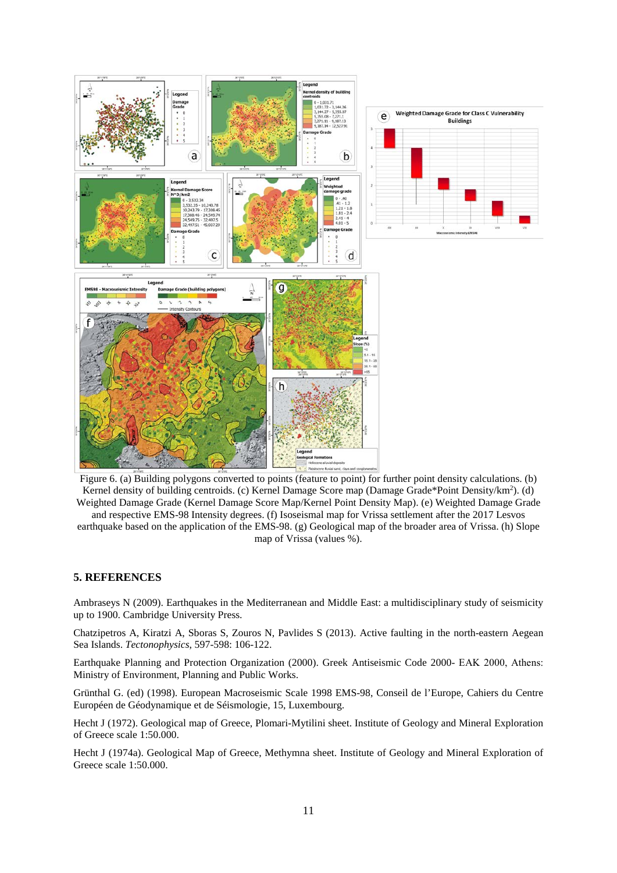

Figure 6. (a) Building polygons converted to points (feature to point) for further point density calculations. (b) Kernel density of building centroids. (c) Kernel Damage Score map (Damage Grade\*Point Density/km<sup>2</sup>). (d) Weighted Damage Grade (Kernel Damage Score Map/Kernel Point Density Map). (e) Weighted Damage Grade and respective EMS-98 Intensity degrees. (f) Isoseismal map for Vrissa settlement after the 2017 Lesvos

earthquake based on the application of the EMS-98. (g) Geological map of the broader area of Vrissa. (h) Slope map of Vrissa (values %).

#### **5. REFERENCES**

Ambraseys N (2009). Earthquakes in the Mediterranean and Middle East: a multidisciplinary study of seismicity up to 1900. Cambridge University Press.

Chatzipetros A, Kiratzi A, Sboras S, Zouros N, Pavlides S (2013). Active faulting in the north-eastern Aegean Sea Islands. *Tectonophysics*, 597-598: 106-122.

Earthquake Planning and Protection Organization (2000). Greek Antiseismic Code 2000- ΕΑΚ 2000, Athens: Ministry of Environment, Planning and Public Works.

Grünthal G. (ed) (1998). European Macroseismic Scale 1998 EMS-98, Conseil de l'Europe, Cahiers du Centre Européen de Géodynamique et de Séismologie, 15, Luxembourg.

Hecht J (1972). Geological map of Greece, Plomari-Mytilini sheet. Institute of Geology and Mineral Exploration of Greece scale 1:50.000.

Hecht J (1974a). Geological Map of Greece, Methymna sheet. Institute of Geology and Mineral Exploration of Greece scale 1:50.000.